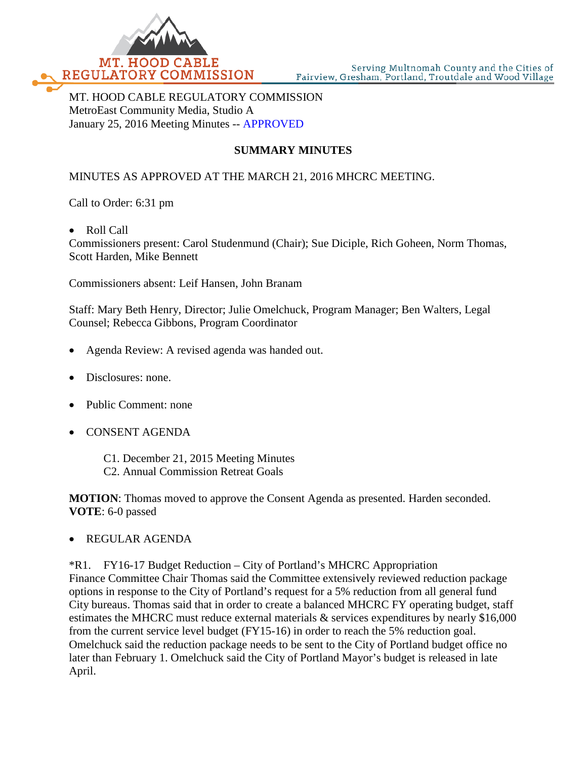

MT. HOOD CABLE REGULATORY COMMISSION MetroEast Community Media, Studio A January 25, 2016 Meeting Minutes -- APPROVED

# **SUMMARY MINUTES**

## MINUTES AS APPROVED AT THE MARCH 21, 2016 MHCRC MEETING.

Call to Order: 6:31 pm

• Roll Call

Commissioners present: Carol Studenmund (Chair); Sue Diciple, Rich Goheen, Norm Thomas, Scott Harden, Mike Bennett

Commissioners absent: Leif Hansen, John Branam

Staff: Mary Beth Henry, Director; Julie Omelchuck, Program Manager; Ben Walters, Legal Counsel; Rebecca Gibbons, Program Coordinator

- Agenda Review: A revised agenda was handed out.
- Disclosures: none.
- Public Comment: none
- CONSENT AGENDA
	- C1. December 21, 2015 Meeting Minutes
	- C2. Annual Commission Retreat Goals

**MOTION**: Thomas moved to approve the Consent Agenda as presented. Harden seconded. **VOTE**: 6-0 passed

#### • REGULAR AGENDA

\*R1. FY16-17 Budget Reduction – City of Portland's MHCRC Appropriation Finance Committee Chair Thomas said the Committee extensively reviewed reduction package options in response to the City of Portland's request for a 5% reduction from all general fund City bureaus. Thomas said that in order to create a balanced MHCRC FY operating budget, staff estimates the MHCRC must reduce external materials & services expenditures by nearly \$16,000 from the current service level budget (FY15-16) in order to reach the 5% reduction goal. Omelchuck said the reduction package needs to be sent to the City of Portland budget office no later than February 1. Omelchuck said the City of Portland Mayor's budget is released in late April.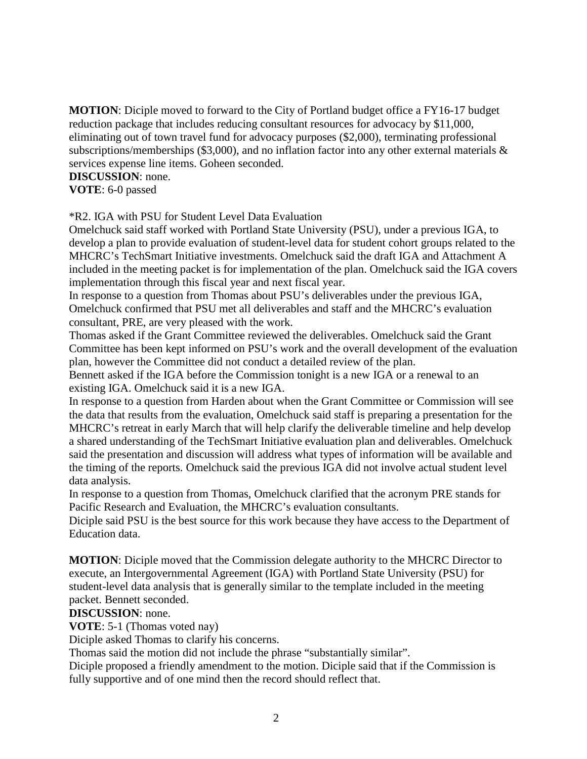**MOTION**: Diciple moved to forward to the City of Portland budget office a FY16-17 budget reduction package that includes reducing consultant resources for advocacy by \$11,000, eliminating out of town travel fund for advocacy purposes (\$2,000), terminating professional subscriptions/memberships (\$3,000), and no inflation factor into any other external materials & services expense line items. Goheen seconded.

## **DISCUSSION**: none.

**VOTE**: 6-0 passed

\*R2. IGA with PSU for Student Level Data Evaluation

Omelchuck said staff worked with Portland State University (PSU), under a previous IGA, to develop a plan to provide evaluation of student-level data for student cohort groups related to the MHCRC's TechSmart Initiative investments. Omelchuck said the draft IGA and Attachment A included in the meeting packet is for implementation of the plan. Omelchuck said the IGA covers implementation through this fiscal year and next fiscal year.

In response to a question from Thomas about PSU's deliverables under the previous IGA, Omelchuck confirmed that PSU met all deliverables and staff and the MHCRC's evaluation consultant, PRE, are very pleased with the work.

Thomas asked if the Grant Committee reviewed the deliverables. Omelchuck said the Grant Committee has been kept informed on PSU's work and the overall development of the evaluation plan, however the Committee did not conduct a detailed review of the plan.

Bennett asked if the IGA before the Commission tonight is a new IGA or a renewal to an existing IGA. Omelchuck said it is a new IGA.

In response to a question from Harden about when the Grant Committee or Commission will see the data that results from the evaluation, Omelchuck said staff is preparing a presentation for the MHCRC's retreat in early March that will help clarify the deliverable timeline and help develop a shared understanding of the TechSmart Initiative evaluation plan and deliverables. Omelchuck said the presentation and discussion will address what types of information will be available and the timing of the reports. Omelchuck said the previous IGA did not involve actual student level data analysis.

In response to a question from Thomas, Omelchuck clarified that the acronym PRE stands for Pacific Research and Evaluation, the MHCRC's evaluation consultants.

Diciple said PSU is the best source for this work because they have access to the Department of Education data.

**MOTION**: Diciple moved that the Commission delegate authority to the MHCRC Director to execute, an Intergovernmental Agreement (IGA) with Portland State University (PSU) for student-level data analysis that is generally similar to the template included in the meeting packet. Bennett seconded.

### **DISCUSSION**: none.

**VOTE**: 5-1 (Thomas voted nay)

Diciple asked Thomas to clarify his concerns.

Thomas said the motion did not include the phrase "substantially similar".

Diciple proposed a friendly amendment to the motion. Diciple said that if the Commission is fully supportive and of one mind then the record should reflect that.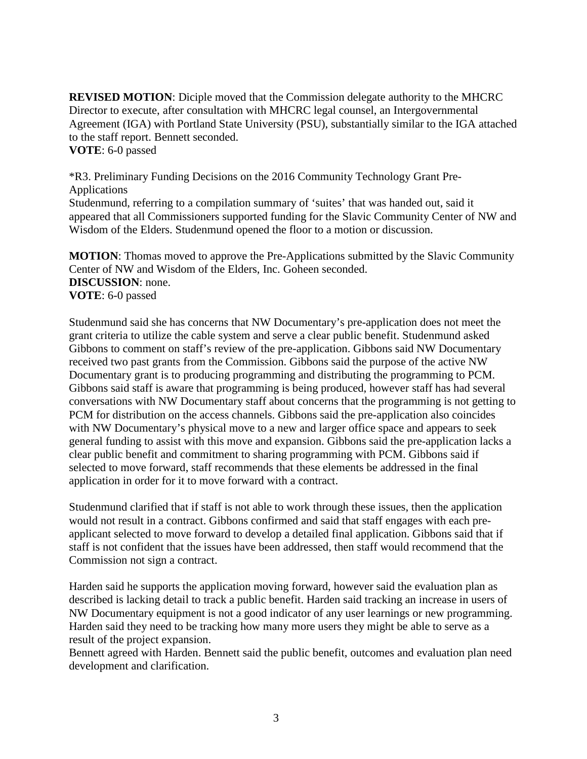**REVISED MOTION**: Diciple moved that the Commission delegate authority to the MHCRC Director to execute, after consultation with MHCRC legal counsel, an Intergovernmental Agreement (IGA) with Portland State University (PSU), substantially similar to the IGA attached to the staff report. Bennett seconded. **VOTE**: 6-0 passed

\*R3. Preliminary Funding Decisions on the 2016 Community Technology Grant Pre-Applications

Studenmund, referring to a compilation summary of 'suites' that was handed out, said it appeared that all Commissioners supported funding for the Slavic Community Center of NW and Wisdom of the Elders. Studenmund opened the floor to a motion or discussion.

**MOTION**: Thomas moved to approve the Pre-Applications submitted by the Slavic Community Center of NW and Wisdom of the Elders, Inc. Goheen seconded. **DISCUSSION**: none. **VOTE**: 6-0 passed

Studenmund said she has concerns that NW Documentary's pre-application does not meet the grant criteria to utilize the cable system and serve a clear public benefit. Studenmund asked Gibbons to comment on staff's review of the pre-application. Gibbons said NW Documentary received two past grants from the Commission. Gibbons said the purpose of the active NW Documentary grant is to producing programming and distributing the programming to PCM. Gibbons said staff is aware that programming is being produced, however staff has had several conversations with NW Documentary staff about concerns that the programming is not getting to PCM for distribution on the access channels. Gibbons said the pre-application also coincides with NW Documentary's physical move to a new and larger office space and appears to seek general funding to assist with this move and expansion. Gibbons said the pre-application lacks a clear public benefit and commitment to sharing programming with PCM. Gibbons said if selected to move forward, staff recommends that these elements be addressed in the final application in order for it to move forward with a contract.

Studenmund clarified that if staff is not able to work through these issues, then the application would not result in a contract. Gibbons confirmed and said that staff engages with each preapplicant selected to move forward to develop a detailed final application. Gibbons said that if staff is not confident that the issues have been addressed, then staff would recommend that the Commission not sign a contract.

Harden said he supports the application moving forward, however said the evaluation plan as described is lacking detail to track a public benefit. Harden said tracking an increase in users of NW Documentary equipment is not a good indicator of any user learnings or new programming. Harden said they need to be tracking how many more users they might be able to serve as a result of the project expansion.

Bennett agreed with Harden. Bennett said the public benefit, outcomes and evaluation plan need development and clarification.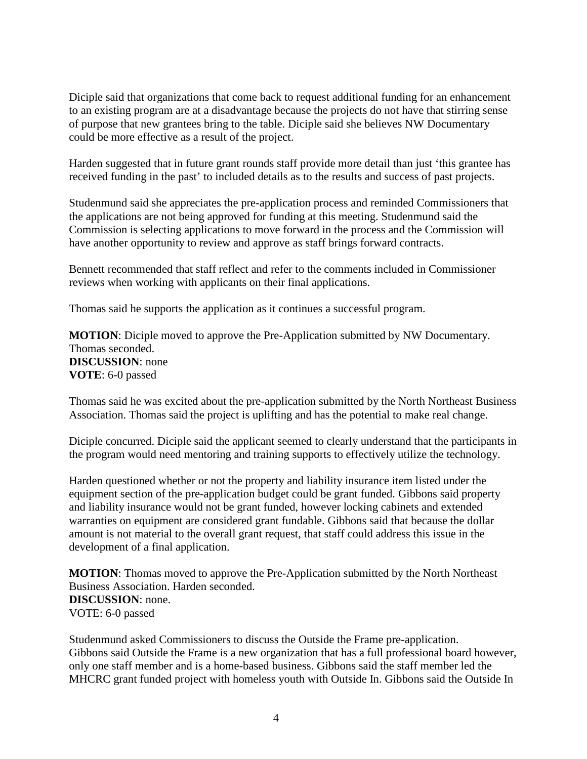Diciple said that organizations that come back to request additional funding for an enhancement to an existing program are at a disadvantage because the projects do not have that stirring sense of purpose that new grantees bring to the table. Diciple said she believes NW Documentary could be more effective as a result of the project.

Harden suggested that in future grant rounds staff provide more detail than just 'this grantee has received funding in the past' to included details as to the results and success of past projects.

Studenmund said she appreciates the pre-application process and reminded Commissioners that the applications are not being approved for funding at this meeting. Studenmund said the Commission is selecting applications to move forward in the process and the Commission will have another opportunity to review and approve as staff brings forward contracts.

Bennett recommended that staff reflect and refer to the comments included in Commissioner reviews when working with applicants on their final applications.

Thomas said he supports the application as it continues a successful program.

**MOTION**: Diciple moved to approve the Pre-Application submitted by NW Documentary. Thomas seconded. **DISCUSSION**: none **VOTE**: 6-0 passed

Thomas said he was excited about the pre-application submitted by the North Northeast Business Association. Thomas said the project is uplifting and has the potential to make real change.

Diciple concurred. Diciple said the applicant seemed to clearly understand that the participants in the program would need mentoring and training supports to effectively utilize the technology.

Harden questioned whether or not the property and liability insurance item listed under the equipment section of the pre-application budget could be grant funded. Gibbons said property and liability insurance would not be grant funded, however locking cabinets and extended warranties on equipment are considered grant fundable. Gibbons said that because the dollar amount is not material to the overall grant request, that staff could address this issue in the development of a final application.

**MOTION**: Thomas moved to approve the Pre-Application submitted by the North Northeast Business Association. Harden seconded. **DISCUSSION**: none. VOTE: 6-0 passed

Studenmund asked Commissioners to discuss the Outside the Frame pre-application. Gibbons said Outside the Frame is a new organization that has a full professional board however, only one staff member and is a home-based business. Gibbons said the staff member led the MHCRC grant funded project with homeless youth with Outside In. Gibbons said the Outside In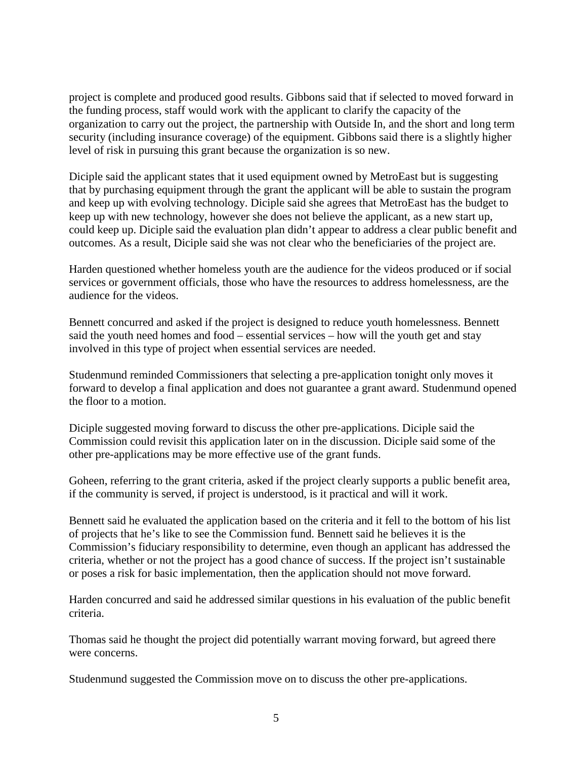project is complete and produced good results. Gibbons said that if selected to moved forward in the funding process, staff would work with the applicant to clarify the capacity of the organization to carry out the project, the partnership with Outside In, and the short and long term security (including insurance coverage) of the equipment. Gibbons said there is a slightly higher level of risk in pursuing this grant because the organization is so new.

Diciple said the applicant states that it used equipment owned by MetroEast but is suggesting that by purchasing equipment through the grant the applicant will be able to sustain the program and keep up with evolving technology. Diciple said she agrees that MetroEast has the budget to keep up with new technology, however she does not believe the applicant, as a new start up, could keep up. Diciple said the evaluation plan didn't appear to address a clear public benefit and outcomes. As a result, Diciple said she was not clear who the beneficiaries of the project are.

Harden questioned whether homeless youth are the audience for the videos produced or if social services or government officials, those who have the resources to address homelessness, are the audience for the videos.

Bennett concurred and asked if the project is designed to reduce youth homelessness. Bennett said the youth need homes and food – essential services – how will the youth get and stay involved in this type of project when essential services are needed.

Studenmund reminded Commissioners that selecting a pre-application tonight only moves it forward to develop a final application and does not guarantee a grant award. Studenmund opened the floor to a motion.

Diciple suggested moving forward to discuss the other pre-applications. Diciple said the Commission could revisit this application later on in the discussion. Diciple said some of the other pre-applications may be more effective use of the grant funds.

Goheen, referring to the grant criteria, asked if the project clearly supports a public benefit area, if the community is served, if project is understood, is it practical and will it work.

Bennett said he evaluated the application based on the criteria and it fell to the bottom of his list of projects that he's like to see the Commission fund. Bennett said he believes it is the Commission's fiduciary responsibility to determine, even though an applicant has addressed the criteria, whether or not the project has a good chance of success. If the project isn't sustainable or poses a risk for basic implementation, then the application should not move forward.

Harden concurred and said he addressed similar questions in his evaluation of the public benefit criteria.

Thomas said he thought the project did potentially warrant moving forward, but agreed there were concerns.

Studenmund suggested the Commission move on to discuss the other pre-applications.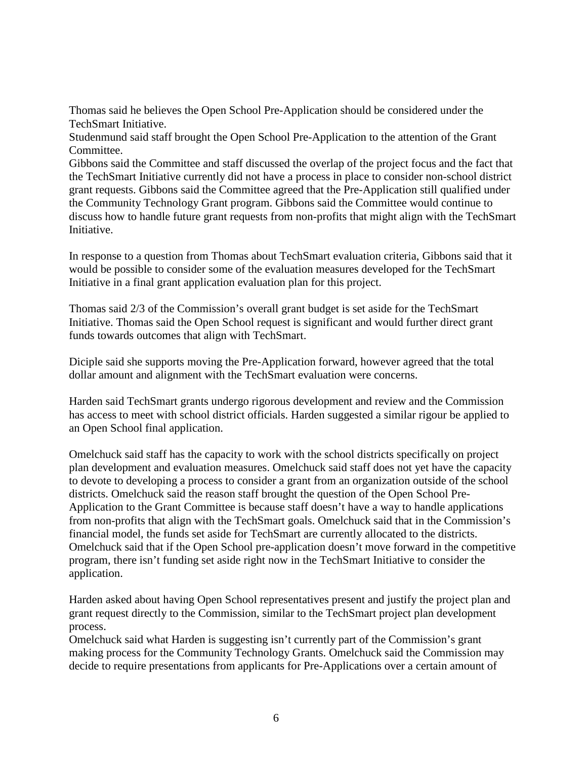Thomas said he believes the Open School Pre-Application should be considered under the TechSmart Initiative.

Studenmund said staff brought the Open School Pre-Application to the attention of the Grant Committee.

Gibbons said the Committee and staff discussed the overlap of the project focus and the fact that the TechSmart Initiative currently did not have a process in place to consider non-school district grant requests. Gibbons said the Committee agreed that the Pre-Application still qualified under the Community Technology Grant program. Gibbons said the Committee would continue to discuss how to handle future grant requests from non-profits that might align with the TechSmart Initiative.

In response to a question from Thomas about TechSmart evaluation criteria, Gibbons said that it would be possible to consider some of the evaluation measures developed for the TechSmart Initiative in a final grant application evaluation plan for this project.

Thomas said 2/3 of the Commission's overall grant budget is set aside for the TechSmart Initiative. Thomas said the Open School request is significant and would further direct grant funds towards outcomes that align with TechSmart.

Diciple said she supports moving the Pre-Application forward, however agreed that the total dollar amount and alignment with the TechSmart evaluation were concerns.

Harden said TechSmart grants undergo rigorous development and review and the Commission has access to meet with school district officials. Harden suggested a similar rigour be applied to an Open School final application.

Omelchuck said staff has the capacity to work with the school districts specifically on project plan development and evaluation measures. Omelchuck said staff does not yet have the capacity to devote to developing a process to consider a grant from an organization outside of the school districts. Omelchuck said the reason staff brought the question of the Open School Pre-Application to the Grant Committee is because staff doesn't have a way to handle applications from non-profits that align with the TechSmart goals. Omelchuck said that in the Commission's financial model, the funds set aside for TechSmart are currently allocated to the districts. Omelchuck said that if the Open School pre-application doesn't move forward in the competitive program, there isn't funding set aside right now in the TechSmart Initiative to consider the application.

Harden asked about having Open School representatives present and justify the project plan and grant request directly to the Commission, similar to the TechSmart project plan development process.

Omelchuck said what Harden is suggesting isn't currently part of the Commission's grant making process for the Community Technology Grants. Omelchuck said the Commission may decide to require presentations from applicants for Pre-Applications over a certain amount of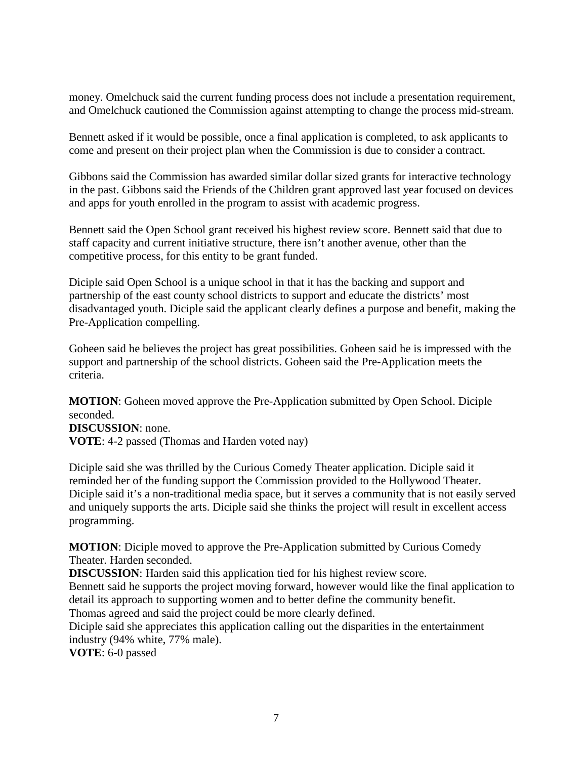money. Omelchuck said the current funding process does not include a presentation requirement, and Omelchuck cautioned the Commission against attempting to change the process mid-stream.

Bennett asked if it would be possible, once a final application is completed, to ask applicants to come and present on their project plan when the Commission is due to consider a contract.

Gibbons said the Commission has awarded similar dollar sized grants for interactive technology in the past. Gibbons said the Friends of the Children grant approved last year focused on devices and apps for youth enrolled in the program to assist with academic progress.

Bennett said the Open School grant received his highest review score. Bennett said that due to staff capacity and current initiative structure, there isn't another avenue, other than the competitive process, for this entity to be grant funded.

Diciple said Open School is a unique school in that it has the backing and support and partnership of the east county school districts to support and educate the districts' most disadvantaged youth. Diciple said the applicant clearly defines a purpose and benefit, making the Pre-Application compelling.

Goheen said he believes the project has great possibilities. Goheen said he is impressed with the support and partnership of the school districts. Goheen said the Pre-Application meets the criteria.

**MOTION**: Goheen moved approve the Pre-Application submitted by Open School. Diciple seconded.

**DISCUSSION**: none. **VOTE**: 4-2 passed (Thomas and Harden voted nay)

Diciple said she was thrilled by the Curious Comedy Theater application. Diciple said it reminded her of the funding support the Commission provided to the Hollywood Theater. Diciple said it's a non-traditional media space, but it serves a community that is not easily served and uniquely supports the arts. Diciple said she thinks the project will result in excellent access programming.

**MOTION**: Diciple moved to approve the Pre-Application submitted by Curious Comedy Theater. Harden seconded.

**DISCUSSION**: Harden said this application tied for his highest review score.

Bennett said he supports the project moving forward, however would like the final application to detail its approach to supporting women and to better define the community benefit.

Thomas agreed and said the project could be more clearly defined.

Diciple said she appreciates this application calling out the disparities in the entertainment industry (94% white, 77% male).

**VOTE**: 6-0 passed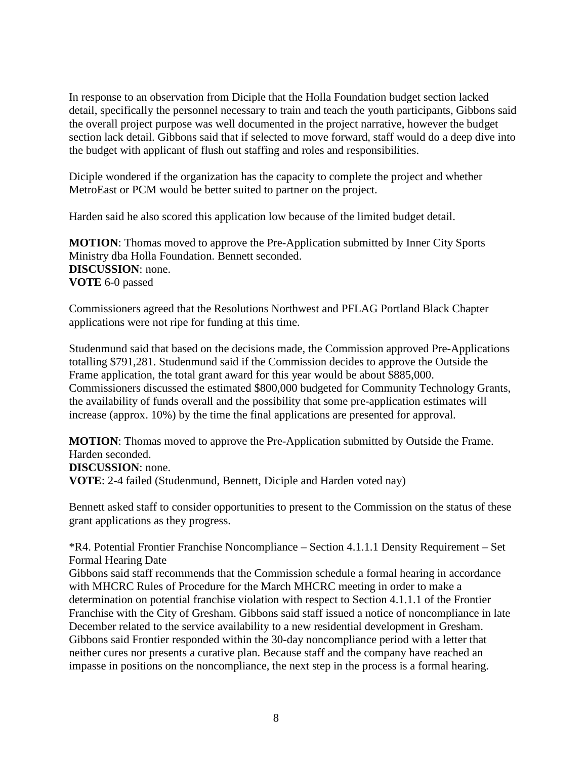In response to an observation from Diciple that the Holla Foundation budget section lacked detail, specifically the personnel necessary to train and teach the youth participants, Gibbons said the overall project purpose was well documented in the project narrative, however the budget section lack detail. Gibbons said that if selected to move forward, staff would do a deep dive into the budget with applicant of flush out staffing and roles and responsibilities.

Diciple wondered if the organization has the capacity to complete the project and whether MetroEast or PCM would be better suited to partner on the project.

Harden said he also scored this application low because of the limited budget detail.

**MOTION**: Thomas moved to approve the Pre-Application submitted by Inner City Sports Ministry dba Holla Foundation. Bennett seconded. **DISCUSSION**: none. **VOTE** 6-0 passed

Commissioners agreed that the Resolutions Northwest and PFLAG Portland Black Chapter applications were not ripe for funding at this time.

Studenmund said that based on the decisions made, the Commission approved Pre-Applications totalling \$791,281. Studenmund said if the Commission decides to approve the Outside the Frame application, the total grant award for this year would be about \$885,000. Commissioners discussed the estimated \$800,000 budgeted for Community Technology Grants, the availability of funds overall and the possibility that some pre-application estimates will increase (approx. 10%) by the time the final applications are presented for approval.

**MOTION**: Thomas moved to approve the Pre-Application submitted by Outside the Frame. Harden seconded. **DISCUSSION**: none.

**VOTE**: 2-4 failed (Studenmund, Bennett, Diciple and Harden voted nay)

Bennett asked staff to consider opportunities to present to the Commission on the status of these grant applications as they progress.

\*R4. Potential Frontier Franchise Noncompliance – Section 4.1.1.1 Density Requirement – Set Formal Hearing Date

Gibbons said staff recommends that the Commission schedule a formal hearing in accordance with MHCRC Rules of Procedure for the March MHCRC meeting in order to make a determination on potential franchise violation with respect to Section 4.1.1.1 of the Frontier Franchise with the City of Gresham. Gibbons said staff issued a notice of noncompliance in late December related to the service availability to a new residential development in Gresham. Gibbons said Frontier responded within the 30-day noncompliance period with a letter that neither cures nor presents a curative plan. Because staff and the company have reached an impasse in positions on the noncompliance, the next step in the process is a formal hearing.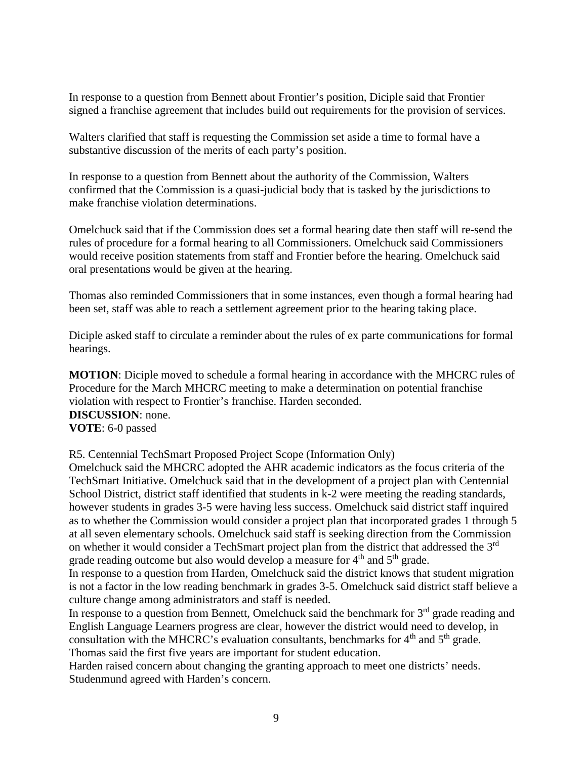In response to a question from Bennett about Frontier's position, Diciple said that Frontier signed a franchise agreement that includes build out requirements for the provision of services.

Walters clarified that staff is requesting the Commission set aside a time to formal have a substantive discussion of the merits of each party's position.

In response to a question from Bennett about the authority of the Commission, Walters confirmed that the Commission is a quasi-judicial body that is tasked by the jurisdictions to make franchise violation determinations.

Omelchuck said that if the Commission does set a formal hearing date then staff will re-send the rules of procedure for a formal hearing to all Commissioners. Omelchuck said Commissioners would receive position statements from staff and Frontier before the hearing. Omelchuck said oral presentations would be given at the hearing.

Thomas also reminded Commissioners that in some instances, even though a formal hearing had been set, staff was able to reach a settlement agreement prior to the hearing taking place.

Diciple asked staff to circulate a reminder about the rules of ex parte communications for formal hearings.

**MOTION**: Diciple moved to schedule a formal hearing in accordance with the MHCRC rules of Procedure for the March MHCRC meeting to make a determination on potential franchise violation with respect to Frontier's franchise. Harden seconded. **DISCUSSION**: none. **VOTE**: 6-0 passed

R5. Centennial TechSmart Proposed Project Scope (Information Only)

Omelchuck said the MHCRC adopted the AHR academic indicators as the focus criteria of the TechSmart Initiative. Omelchuck said that in the development of a project plan with Centennial School District, district staff identified that students in k-2 were meeting the reading standards, however students in grades 3-5 were having less success. Omelchuck said district staff inquired as to whether the Commission would consider a project plan that incorporated grades 1 through 5 at all seven elementary schools. Omelchuck said staff is seeking direction from the Commission on whether it would consider a TechSmart project plan from the district that addressed the 3<sup>rd</sup> grade reading outcome but also would develop a measure for  $4<sup>th</sup>$  and  $5<sup>th</sup>$  grade.

In response to a question from Harden, Omelchuck said the district knows that student migration is not a factor in the low reading benchmark in grades 3-5. Omelchuck said district staff believe a culture change among administrators and staff is needed.

In response to a question from Bennett, Omelchuck said the benchmark for 3<sup>rd</sup> grade reading and English Language Learners progress are clear, however the district would need to develop, in consultation with the MHCRC's evaluation consultants, benchmarks for  $4<sup>th</sup>$  and  $5<sup>th</sup>$  grade. Thomas said the first five years are important for student education.

Harden raised concern about changing the granting approach to meet one districts' needs. Studenmund agreed with Harden's concern.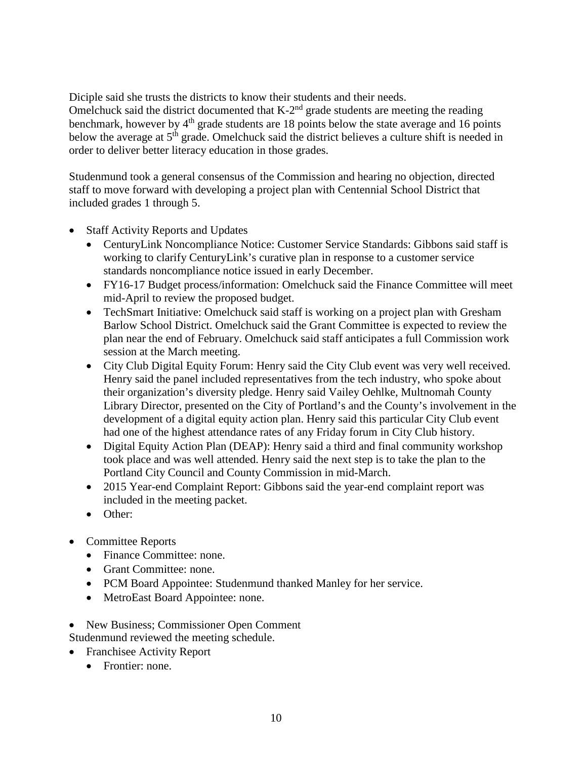Diciple said she trusts the districts to know their students and their needs.

Omelchuck said the district documented that K-2<sup>nd</sup> grade students are meeting the reading benchmark, however by  $4<sup>th</sup>$  grade students are 18 points below the state average and 16 points below the average at 5<sup>th</sup> grade. Omelchuck said the district believes a culture shift is needed in order to deliver better literacy education in those grades.

Studenmund took a general consensus of the Commission and hearing no objection, directed staff to move forward with developing a project plan with Centennial School District that included grades 1 through 5.

- **Staff Activity Reports and Updates** 
	- CenturyLink Noncompliance Notice: Customer Service Standards: Gibbons said staff is working to clarify CenturyLink's curative plan in response to a customer service standards noncompliance notice issued in early December.
	- FY16-17 Budget process/information: Omelchuck said the Finance Committee will meet mid-April to review the proposed budget.
	- TechSmart Initiative: Omelchuck said staff is working on a project plan with Gresham Barlow School District. Omelchuck said the Grant Committee is expected to review the plan near the end of February. Omelchuck said staff anticipates a full Commission work session at the March meeting.
	- City Club Digital Equity Forum: Henry said the City Club event was very well received. Henry said the panel included representatives from the tech industry, who spoke about their organization's diversity pledge. Henry said Vailey Oehlke, Multnomah County Library Director, presented on the City of Portland's and the County's involvement in the development of a digital equity action plan. Henry said this particular City Club event had one of the highest attendance rates of any Friday forum in City Club history.
	- Digital Equity Action Plan (DEAP): Henry said a third and final community workshop took place and was well attended. Henry said the next step is to take the plan to the Portland City Council and County Commission in mid-March.
	- 2015 Year-end Complaint Report: Gibbons said the year-end complaint report was included in the meeting packet.
	- Other:
- Committee Reports
	- Finance Committee: none.
	- Grant Committee: none.
	- PCM Board Appointee: Studenmund thanked Manley for her service.
	- MetroEast Board Appointee: none.
- New Business; Commissioner Open Comment Studenmund reviewed the meeting schedule.
- Franchisee Activity Report
	- Frontier: none.